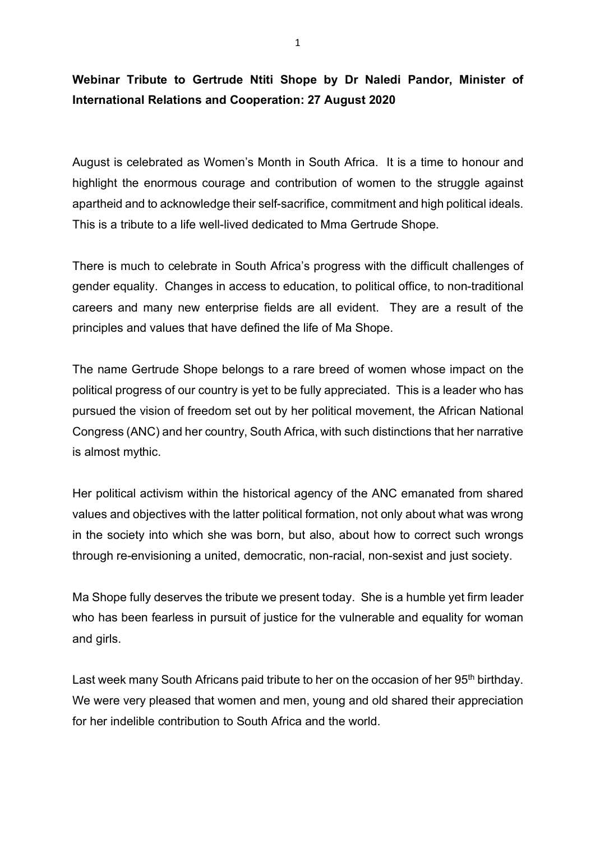## **Webinar Tribute to Gertrude Ntiti Shope by Dr Naledi Pandor, Minister of International Relations and Cooperation: 27 August 2020**

August is celebrated as Women's Month in South Africa. It is a time to honour and highlight the enormous courage and contribution of women to the struggle against apartheid and to acknowledge their self-sacrifice, commitment and high political ideals. This is a tribute to a life well-lived dedicated to Mma Gertrude Shope.

There is much to celebrate in South Africa's progress with the difficult challenges of gender equality. Changes in access to education, to political office, to non-traditional careers and many new enterprise fields are all evident. They are a result of the principles and values that have defined the life of Ma Shope.

The name Gertrude Shope belongs to a rare breed of women whose impact on the political progress of our country is yet to be fully appreciated. This is a leader who has pursued the vision of freedom set out by her political movement, the African National Congress (ANC) and her country, South Africa, with such distinctions that her narrative is almost mythic.

Her political activism within the historical agency of the ANC emanated from shared values and objectives with the latter political formation, not only about what was wrong in the society into which she was born, but also, about how to correct such wrongs through re-envisioning a united, democratic, non-racial, non-sexist and just society.

Ma Shope fully deserves the tribute we present today. She is a humble yet firm leader who has been fearless in pursuit of justice for the vulnerable and equality for woman and girls.

Last week many South Africans paid tribute to her on the occasion of her 95<sup>th</sup> birthday. We were very pleased that women and men, young and old shared their appreciation for her indelible contribution to South Africa and the world.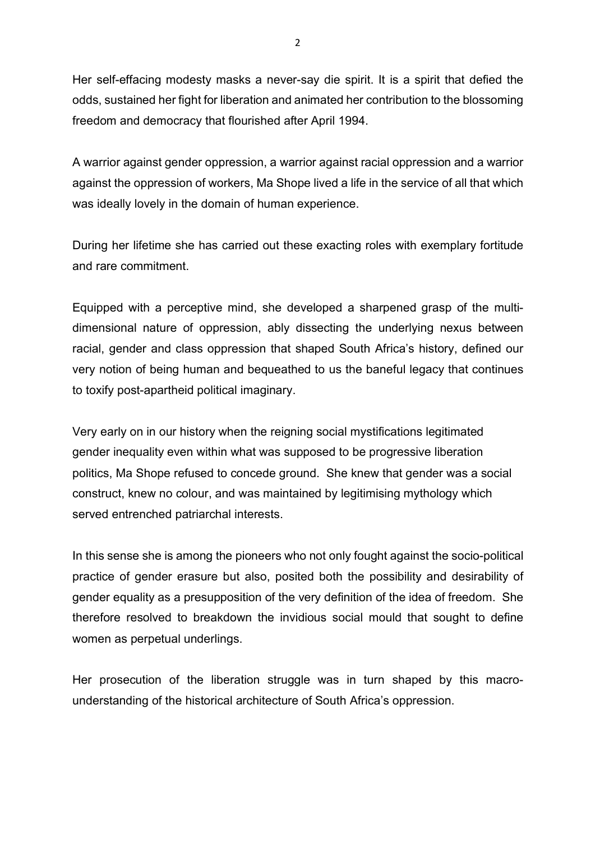Her self-effacing modesty masks a never-say die spirit. It is a spirit that defied the odds, sustained her fight for liberation and animated her contribution to the blossoming freedom and democracy that flourished after April 1994.

A warrior against gender oppression, a warrior against racial oppression and a warrior against the oppression of workers, Ma Shope lived a life in the service of all that which was ideally lovely in the domain of human experience.

During her lifetime she has carried out these exacting roles with exemplary fortitude and rare commitment.

Equipped with a perceptive mind, she developed a sharpened grasp of the multidimensional nature of oppression, ably dissecting the underlying nexus between racial, gender and class oppression that shaped South Africa's history, defined our very notion of being human and bequeathed to us the baneful legacy that continues to toxify post-apartheid political imaginary.

Very early on in our history when the reigning social mystifications legitimated gender inequality even within what was supposed to be progressive liberation politics, Ma Shope refused to concede ground. She knew that gender was a social construct, knew no colour, and was maintained by legitimising mythology which served entrenched patriarchal interests.

In this sense she is among the pioneers who not only fought against the socio-political practice of gender erasure but also, posited both the possibility and desirability of gender equality as a presupposition of the very definition of the idea of freedom. She therefore resolved to breakdown the invidious social mould that sought to define women as perpetual underlings.

Her prosecution of the liberation struggle was in turn shaped by this macrounderstanding of the historical architecture of South Africa's oppression.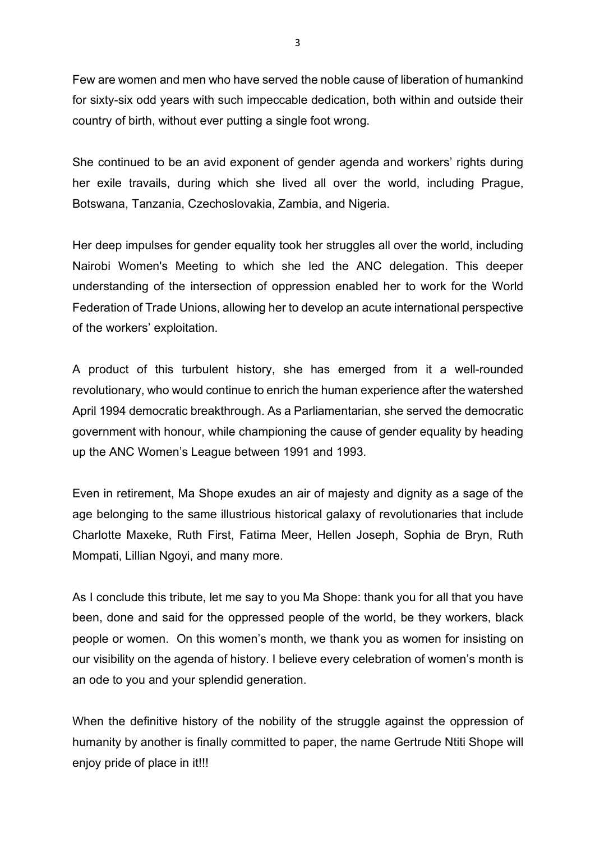Few are women and men who have served the noble cause of liberation of humankind for sixty-six odd years with such impeccable dedication, both within and outside their country of birth, without ever putting a single foot wrong.

She continued to be an avid exponent of gender agenda and workers' rights during her exile travails, during which she lived all over the world, including Prague, Botswana, Tanzania, Czechoslovakia, Zambia, and Nigeria.

Her deep impulses for gender equality took her struggles all over the world, including Nairobi Women's Meeting to which she led the ANC delegation. This deeper understanding of the intersection of oppression enabled her to work for the World Federation of Trade Unions, allowing her to develop an acute international perspective of the workers' exploitation.

A product of this turbulent history, she has emerged from it a well-rounded revolutionary, who would continue to enrich the human experience after the watershed April 1994 democratic breakthrough. As a Parliamentarian, she served the democratic government with honour, while championing the cause of gender equality by heading up the ANC Women's League between 1991 and 1993.

Even in retirement, Ma Shope exudes an air of majesty and dignity as a sage of the age belonging to the same illustrious historical galaxy of revolutionaries that include Charlotte Maxeke, Ruth First, Fatima Meer, Hellen Joseph, Sophia de Bryn, Ruth Mompati, Lillian Ngoyi, and many more.

As I conclude this tribute, let me say to you Ma Shope: thank you for all that you have been, done and said for the oppressed people of the world, be they workers, black people or women. On this women's month, we thank you as women for insisting on our visibility on the agenda of history. I believe every celebration of women's month is an ode to you and your splendid generation.

When the definitive history of the nobility of the struggle against the oppression of humanity by another is finally committed to paper, the name Gertrude Ntiti Shope will enjoy pride of place in it!!!